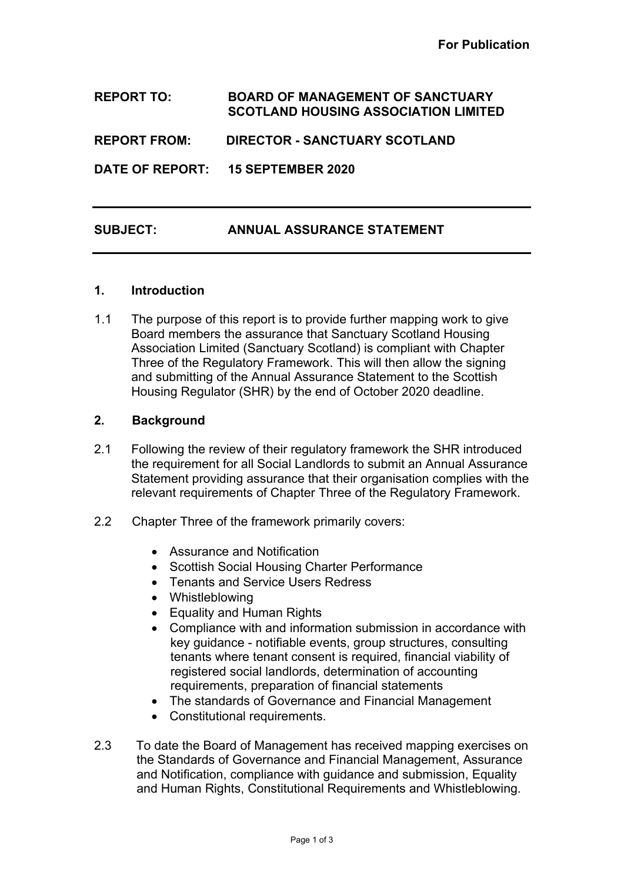## **REPORT TO: BOARD OF MANAGEMENT OF SANCTUARY SCOTLAND HOUSING ASSOCIATION LIMITED**

**REPORT FROM: DIRECTOR - SANCTUARY SCOTLAND**

**DATE OF REPORT: 15 SEPTEMBER 2020**

# **SUBJECT: ANNUAL ASSURANCE STATEMENT**

#### **1. Introduction**

1.1 The purpose of this report is to provide further mapping work to give Board members the assurance that Sanctuary Scotland Housing Association Limited (Sanctuary Scotland) is compliant with Chapter Three of the Regulatory Framework. This will then allow the signing and submitting of the Annual Assurance Statement to the Scottish Housing Regulator (SHR) by the end of October 2020 deadline.

### **2. Background**

- 2.1 Following the review of their regulatory framework the SHR introduced the requirement for all Social Landlords to submit an Annual Assurance Statement providing assurance that their organisation complies with the relevant requirements of Chapter Three of the Regulatory Framework.
- 2.2 Chapter Three of the framework primarily covers:
	- Assurance and Notification
	- Scottish Social Housing Charter Performance
	- Tenants and Service Users Redress
	- Whistleblowing
	- Equality and Human Rights
	- Compliance with and information submission in accordance with key guidance - notifiable events, group structures, consulting tenants where tenant consent is required, financial viability of registered social landlords, determination of accounting requirements, preparation of financial statements
	- The standards of Governance and Financial Management
	- Constitutional requirements.
- 2.3 To date the Board of Management has received mapping exercises on the Standards of Governance and Financial Management, Assurance and Notification, compliance with guidance and submission, Equality and Human Rights, Constitutional Requirements and Whistleblowing.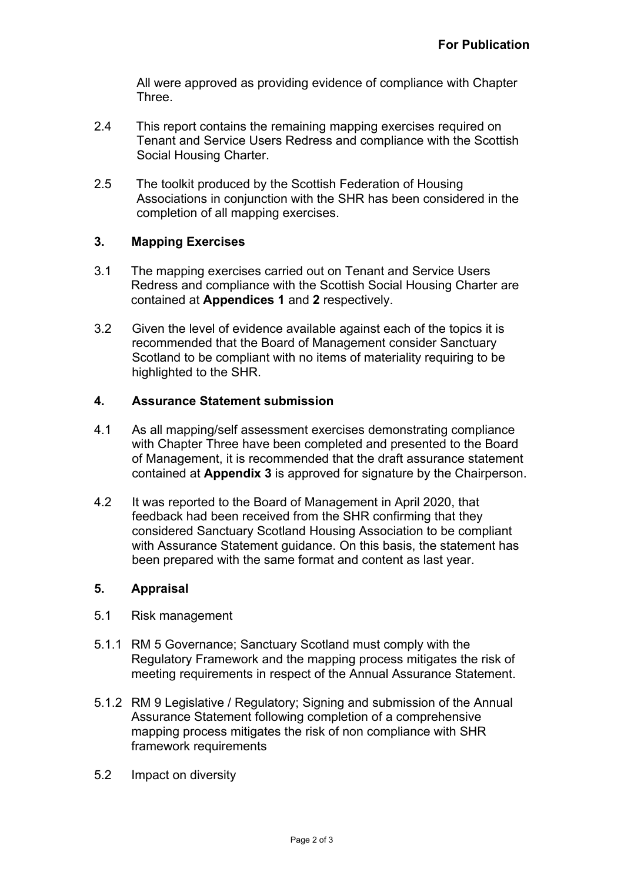All were approved as providing evidence of compliance with Chapter Three.

- 2.4 This report contains the remaining mapping exercises required on Tenant and Service Users Redress and compliance with the Scottish Social Housing Charter.
- 2.5 The toolkit produced by the Scottish Federation of Housing Associations in conjunction with the SHR has been considered in the completion of all mapping exercises.

## **3. Mapping Exercises**

- 3.1 The mapping exercises carried out on Tenant and Service Users Redress and compliance with the Scottish Social Housing Charter are contained at **Appendices 1** and **2** respectively.
- 3.2 Given the level of evidence available against each of the topics it is recommended that the Board of Management consider Sanctuary Scotland to be compliant with no items of materiality requiring to be highlighted to the SHR.

### **4. Assurance Statement submission**

- 4.1 As all mapping/self assessment exercises demonstrating compliance with Chapter Three have been completed and presented to the Board of Management, it is recommended that the draft assurance statement contained at **Appendix 3** is approved for signature by the Chairperson.
- 4.2 It was reported to the Board of Management in April 2020, that feedback had been received from the SHR confirming that they considered Sanctuary Scotland Housing Association to be compliant with Assurance Statement guidance. On this basis, the statement has been prepared with the same format and content as last year.

#### **5. Appraisal**

- 5.1 Risk management
- 5.1.1 RM 5 Governance; Sanctuary Scotland must comply with the Regulatory Framework and the mapping process mitigates the risk of meeting requirements in respect of the Annual Assurance Statement.
- 5.1.2 RM 9 Legislative / Regulatory; Signing and submission of the Annual Assurance Statement following completion of a comprehensive mapping process mitigates the risk of non compliance with SHR framework requirements
- 5.2 Impact on diversity